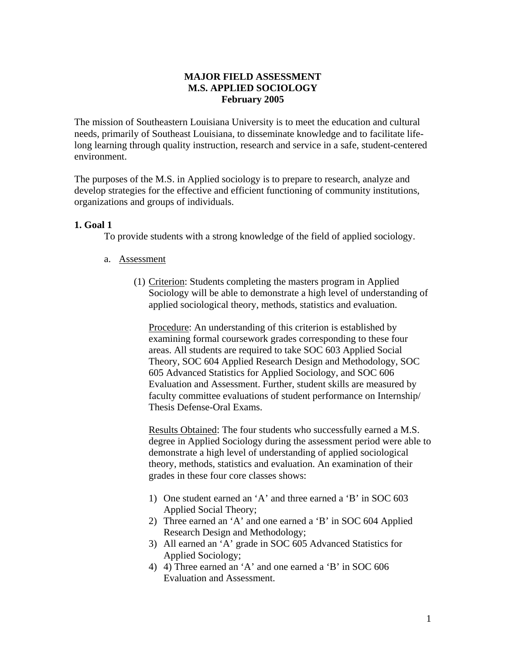# **MAJOR FIELD ASSESSMENT M.S. APPLIED SOCIOLOGY February 2005**

The mission of Southeastern Louisiana University is to meet the education and cultural needs, primarily of Southeast Louisiana, to disseminate knowledge and to facilitate lifelong learning through quality instruction, research and service in a safe, student-centered environment.

The purposes of the M.S. in Applied sociology is to prepare to research, analyze and develop strategies for the effective and efficient functioning of community institutions, organizations and groups of individuals.

## **1. Goal 1**

To provide students with a strong knowledge of the field of applied sociology.

#### a. Assessment

(1) Criterion: Students completing the masters program in Applied Sociology will be able to demonstrate a high level of understanding of applied sociological theory, methods, statistics and evaluation.

Procedure: An understanding of this criterion is established by examining formal coursework grades corresponding to these four areas. All students are required to take SOC 603 Applied Social Theory, SOC 604 Applied Research Design and Methodology, SOC 605 Advanced Statistics for Applied Sociology, and SOC 606 Evaluation and Assessment. Further, student skills are measured by faculty committee evaluations of student performance on Internship/ Thesis Defense-Oral Exams.

Results Obtained: The four students who successfully earned a M.S. degree in Applied Sociology during the assessment period were able to demonstrate a high level of understanding of applied sociological theory, methods, statistics and evaluation. An examination of their grades in these four core classes shows:

- 1) One student earned an 'A' and three earned a 'B' in SOC 603 Applied Social Theory;
- 2) Three earned an 'A' and one earned a 'B' in SOC 604 Applied Research Design and Methodology;
- 3) All earned an 'A' grade in SOC 605 Advanced Statistics for Applied Sociology;
- 4) 4) Three earned an 'A' and one earned a 'B' in SOC 606 Evaluation and Assessment.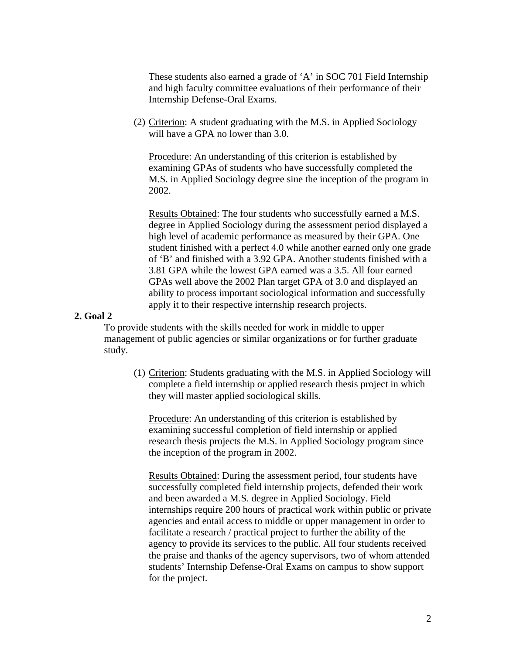These students also earned a grade of 'A' in SOC 701 Field Internship and high faculty committee evaluations of their performance of their Internship Defense-Oral Exams.

(2) Criterion: A student graduating with the M.S. in Applied Sociology will have a GPA no lower than 3.0.

Procedure: An understanding of this criterion is established by examining GPAs of students who have successfully completed the M.S. in Applied Sociology degree sine the inception of the program in 2002.

Results Obtained: The four students who successfully earned a M.S. degree in Applied Sociology during the assessment period displayed a high level of academic performance as measured by their GPA. One student finished with a perfect 4.0 while another earned only one grade of 'B' and finished with a 3.92 GPA. Another students finished with a 3.81 GPA while the lowest GPA earned was a 3.5. All four earned GPAs well above the 2002 Plan target GPA of 3.0 and displayed an ability to process important sociological information and successfully apply it to their respective internship research projects.

## **2. Goal 2**

To provide students with the skills needed for work in middle to upper management of public agencies or similar organizations or for further graduate study.

(1) Criterion: Students graduating with the M.S. in Applied Sociology will complete a field internship or applied research thesis project in which they will master applied sociological skills.

Procedure: An understanding of this criterion is established by examining successful completion of field internship or applied research thesis projects the M.S. in Applied Sociology program since the inception of the program in 2002.

Results Obtained: During the assessment period, four students have successfully completed field internship projects, defended their work and been awarded a M.S. degree in Applied Sociology. Field internships require 200 hours of practical work within public or private agencies and entail access to middle or upper management in order to facilitate a research / practical project to further the ability of the agency to provide its services to the public. All four students received the praise and thanks of the agency supervisors, two of whom attended students' Internship Defense-Oral Exams on campus to show support for the project.